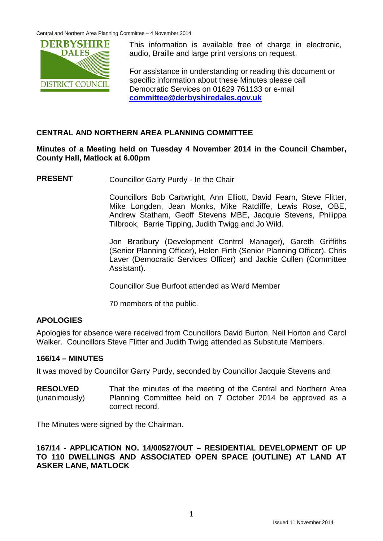Central and Northern Area Planning Committee – 4 November 2014



This information is available free of charge in electronic, audio, Braille and large print versions on request.

For assistance in understanding or reading this document or specific information about these Minutes please call Democratic Services on 01629 761133 or e-mail **[committee@derbyshiredales.gov.uk](mailto:committee@derbyshiredales.gov.uk)**

# **CENTRAL AND NORTHERN AREA PLANNING COMMITTEE**

## **Minutes of a Meeting held on Tuesday 4 November 2014 in the Council Chamber, County Hall, Matlock at 6.00pm**

**PRESENT** Councillor Garry Purdy - In the Chair

Councillors Bob Cartwright, Ann Elliott, David Fearn, Steve Flitter, Mike Longden, Jean Monks, Mike Ratcliffe, Lewis Rose, OBE, Andrew Statham, Geoff Stevens MBE, Jacquie Stevens, Philippa Tilbrook, Barrie Tipping, Judith Twigg and Jo Wild.

Jon Bradbury (Development Control Manager), Gareth Griffiths (Senior Planning Officer), Helen Firth (Senior Planning Officer), Chris Laver (Democratic Services Officer) and Jackie Cullen (Committee Assistant).

Councillor Sue Burfoot attended as Ward Member

70 members of the public.

# **APOLOGIES**

Apologies for absence were received from Councillors David Burton, Neil Horton and Carol Walker. Councillors Steve Flitter and Judith Twigg attended as Substitute Members.

### **166/14 – MINUTES**

It was moved by Councillor Garry Purdy, seconded by Councillor Jacquie Stevens and

**RESOLVED** (unanimously) That the minutes of the meeting of the Central and Northern Area Planning Committee held on 7 October 2014 be approved as a correct record.

The Minutes were signed by the Chairman.

#### **167/14 - APPLICATION NO. 14/00527/OUT – RESIDENTIAL DEVELOPMENT OF UP TO 110 DWELLINGS AND ASSOCIATED OPEN SPACE (OUTLINE) AT LAND AT ASKER LANE, MATLOCK**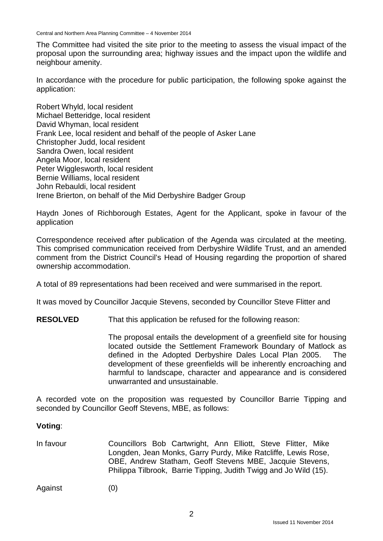Central and Northern Area Planning Committee – 4 November 2014

The Committee had visited the site prior to the meeting to assess the visual impact of the proposal upon the surrounding area; highway issues and the impact upon the wildlife and neighbour amenity.

In accordance with the procedure for public participation, the following spoke against the application:

Robert Whyld, local resident Michael Betteridge, local resident David Whyman, local resident Frank Lee, local resident and behalf of the people of Asker Lane Christopher Judd, local resident Sandra Owen, local resident Angela Moor, local resident Peter Wigglesworth, local resident Bernie Williams, local resident John Rebauldi, local resident Irene Brierton, on behalf of the Mid Derbyshire Badger Group

Haydn Jones of Richborough Estates, Agent for the Applicant, spoke in favour of the application

Correspondence received after publication of the Agenda was circulated at the meeting. This comprised communication received from Derbyshire Wildlife Trust, and an amended comment from the District Council's Head of Housing regarding the proportion of shared ownership accommodation.

A total of 89 representations had been received and were summarised in the report.

It was moved by Councillor Jacquie Stevens, seconded by Councillor Steve Flitter and

**RESOLVED** That this application be refused for the following reason:

The proposal entails the development of a greenfield site for housing located outside the Settlement Framework Boundary of Matlock as defined in the Adopted Derbyshire Dales Local Plan 2005. The development of these greenfields will be inherently encroaching and harmful to landscape, character and appearance and is considered unwarranted and unsustainable.

A recorded vote on the proposition was requested by Councillor Barrie Tipping and seconded by Councillor Geoff Stevens, MBE, as follows:

#### **Voting**:

In favour Councillors Bob Cartwright, Ann Elliott, Steve Flitter, Mike Longden, Jean Monks, Garry Purdy, Mike Ratcliffe, Lewis Rose, OBE, Andrew Statham, Geoff Stevens MBE, Jacquie Stevens, Philippa Tilbrook, Barrie Tipping, Judith Twigg and Jo Wild (15).

Against (0)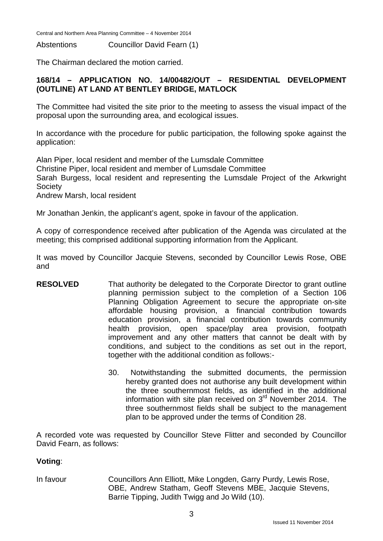Central and Northern Area Planning Committee – 4 November 2014

Abstentions Councillor David Fearn (1)

The Chairman declared the motion carried.

# **168/14 – APPLICATION NO. 14/00482/OUT – RESIDENTIAL DEVELOPMENT (OUTLINE) AT LAND AT BENTLEY BRIDGE, MATLOCK**

The Committee had visited the site prior to the meeting to assess the visual impact of the proposal upon the surrounding area, and ecological issues.

In accordance with the procedure for public participation, the following spoke against the application:

Alan Piper, local resident and member of the Lumsdale Committee Christine Piper, local resident and member of Lumsdale Committee Sarah Burgess, local resident and representing the Lumsdale Project of the Arkwright Society Andrew Marsh, local resident

Mr Jonathan Jenkin, the applicant's agent, spoke in favour of the application.

A copy of correspondence received after publication of the Agenda was circulated at the meeting; this comprised additional supporting information from the Applicant.

It was moved by Councillor Jacquie Stevens, seconded by Councillor Lewis Rose, OBE and

- **RESOLVED** That authority be delegated to the Corporate Director to grant outline planning permission subject to the completion of a Section 106 Planning Obligation Agreement to secure the appropriate on-site affordable housing provision, a financial contribution towards education provision, a financial contribution towards community health provision, open space/play area provision, footpath improvement and any other matters that cannot be dealt with by conditions, and subject to the conditions as set out in the report, together with the additional condition as follows:-
	- 30. Notwithstanding the submitted documents, the permission hereby granted does not authorise any built development within the three southernmost fields, as identified in the additional information with site plan received on  $3<sup>rd</sup>$  November 2014. The three southernmost fields shall be subject to the management plan to be approved under the terms of Condition 28.

A recorded vote was requested by Councillor Steve Flitter and seconded by Councillor David Fearn, as follows:

### **Voting**:

In favour Councillors Ann Elliott, Mike Longden, Garry Purdy, Lewis Rose, OBE, Andrew Statham, Geoff Stevens MBE, Jacquie Stevens, Barrie Tipping, Judith Twigg and Jo Wild (10).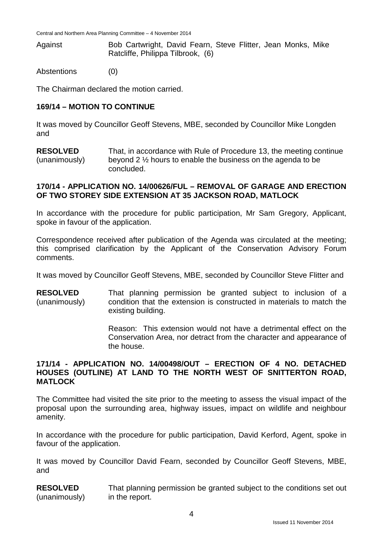Against Bob Cartwright, David Fearn, Steve Flitter, Jean Monks, Mike Ratcliffe, Philippa Tilbrook, (6)

Abstentions (0)

The Chairman declared the motion carried.

### **169/14 – MOTION TO CONTINUE**

It was moved by Councillor Geoff Stevens, MBE, seconded by Councillor Mike Longden and

**RESOLVED** (unanimously) That, in accordance with Rule of Procedure 13, the meeting continue beyond 2 ½ hours to enable the business on the agenda to be concluded.

#### **170/14 - APPLICATION NO. 14/00626/FUL – REMOVAL OF GARAGE AND ERECTION OF TWO STOREY SIDE EXTENSION AT 35 JACKSON ROAD, MATLOCK**

In accordance with the procedure for public participation, Mr Sam Gregory, Applicant, spoke in favour of the application.

Correspondence received after publication of the Agenda was circulated at the meeting; this comprised clarification by the Applicant of the Conservation Advisory Forum comments.

It was moved by Councillor Geoff Stevens, MBE, seconded by Councillor Steve Flitter and

**RESOLVED** (unanimously) That planning permission be granted subject to inclusion of a condition that the extension is constructed in materials to match the existing building.

> Reason: This extension would not have a detrimental effect on the Conservation Area, nor detract from the character and appearance of the house.

#### **171/14 - APPLICATION NO. 14/00498/OUT – ERECTION OF 4 NO. DETACHED HOUSES (OUTLINE) AT LAND TO THE NORTH WEST OF SNITTERTON ROAD, MATLOCK**

The Committee had visited the site prior to the meeting to assess the visual impact of the proposal upon the surrounding area, highway issues, impact on wildlife and neighbour amenity.

In accordance with the procedure for public participation, David Kerford, Agent, spoke in favour of the application.

It was moved by Councillor David Fearn, seconded by Councillor Geoff Stevens, MBE, and

**RESOLVED** (unanimously) That planning permission be granted subject to the conditions set out in the report.